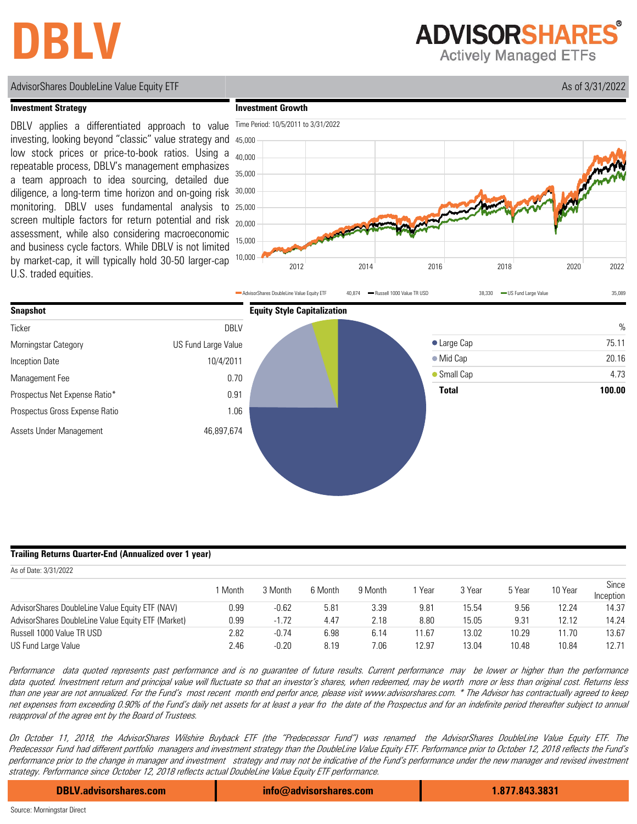## **DBLV**

**ADVISORSHARES** 

**Actively Managed ETFs** 

### AdvisorShares DoubleLine Value Equity ETF Assets and the Contract of the Contract of the Contract of Assets and Assets and Assets and Assets and Assets and Assets and Assets and Assets and Assets and Assets and Assets and

### **Investment Strategy**

**Investment Growth**



low stock prices or price-to-book ratios. Using a repeatable process, DBLV's management emphasizes a team approach to idea sourcing, detailed due diligence, a long-term time horizon and on-going risk monitoring. DBLV uses fundamental analysis to screen multiple factors for return potential and risk assessment, while also considering macroeconomic and business cycle factors. While DBLV is not limited by market-cap, it will typically hold 30-50 larger-cap U.S. traded equities.





### **Trailing Returns Quarter-End (Annualized over 1 year)**

| As of Date: 3/31/2022                              |       |         |         |         |       |        |        |         |                    |
|----------------------------------------------------|-------|---------|---------|---------|-------|--------|--------|---------|--------------------|
|                                                    | Month | 3 Month | 6 Month | 9 Month | Year  | 3 Year | 5 Year | 10 Year | Since<br>Inception |
| AdvisorShares DoubleLine Value Equity ETF (NAV)    | 0.99  | $-0.62$ | 5.81    | 3.39    | 9.81  | 15.54  | 9.56   | 12.24   | 14.37              |
| AdvisorShares DoubleLine Value Equity ETF (Market) | 0.99  | $-1.72$ | 4.47    | 2.18    | 8.80  | 15.05  | 9.31   | 12.12   | 14.24              |
| Russell 1000 Value TR USD                          | 2.82  | $-0.74$ | 6.98    | 6.14    | 11.67 | 13.02  | 10.29  | 11.70   | 13.67              |
| US Fund Large Value                                | 2.46  | $-0.20$ | 8.19    | 7.06    | 12.97 | 13.04  | 10.48  | 10.84   | 12.71              |

Performance data quoted represents past performance and is no guarantee of future results. Current performance may be lower or higher than the performance data quoted. Investment return and principal value will fluctuate so that an investor's shares, when redeemed, may be worth more or less than original cost. Returns less than one year are not annualized. For the Fund's most recent month end perfor ance, please visit www.advisorshares.co<sup>m</sup>. \* The Advisor has contractually agreed to keep net expenses from exceeding 0.90% of the Fund's daily net assets for at least a year fro the date of the Prospectus and for an indefinite period thereafter subject to annual reapproval of the agree ent by the Board of Trustees.

On October 11, 2018, the AdvisorShares Wilshire Buyback ETF (the "Predecessor Fund") was renamed the AdvisorShares DoubleLine Value Equity ETF. The Predecessor Fund had different portfolio managers and investment strategy than the DoubleLine Value Equity ETF. Performance prior to October 12, 2018 reflects the Fund's performance prior to the change in manager and investment strategy and may not be indicative of the Fund's performance under the new manager and revised investment strategy. Performance since October 12, 2018 reflects actual DoubleLine Value Equity ETF performance.

**DBLV.advisorshares.com info@advisorshares.com 1.877.843.3831**